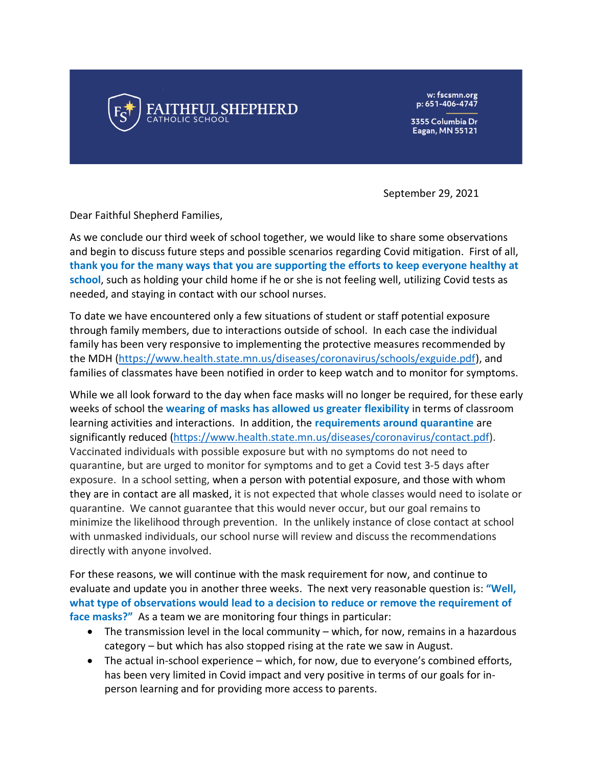

w: fscsmn.org p: 651-406-4747

3355 Columbia Dr **Eagan, MN 55121** 

September 29, 2021

Dear Faithful Shepherd Families,

As we conclude our third week of school together, we would like to share some observations and begin to discuss future steps and possible scenarios regarding Covid mitigation. First of all, **thank you for the many ways that you are supporting the efforts to keep everyone healthy at school**, such as holding your child home if he or she is not feeling well, utilizing Covid tests as needed, and staying in contact with our school nurses.

To date we have encountered only a few situations of student or staff potential exposure through family members, due to interactions outside of school. In each case the individual family has been very responsive to implementing the protective measures recommended by the MDH [\(https://www.health.state.mn.us/diseases/coronavirus/schools/exguide.pdf\)](https://www.health.state.mn.us/diseases/coronavirus/schools/exguide.pdf), and families of classmates have been notified in order to keep watch and to monitor for symptoms.

While we all look forward to the day when face masks will no longer be required, for these early weeks of school the **wearing of masks has allowed us greater flexibility** in terms of classroom learning activities and interactions. In addition, the **requirements around quarantine** are significantly reduced [\(https://www.health.state.mn.us/diseases/coronavirus/contact.pdf\)](https://www.health.state.mn.us/diseases/coronavirus/contact.pdf). Vaccinated individuals with possible exposure but with no symptoms do not need to quarantine, but are urged to monitor for symptoms and to get a Covid test 3-5 days after exposure. In a school setting, when a person with potential exposure, and those with whom they are in contact are all masked, it is not expected that whole classes would need to isolate or quarantine. We cannot guarantee that this would never occur, but our goal remains to minimize the likelihood through prevention. In the unlikely instance of close contact at school with unmasked individuals, our school nurse will review and discuss the recommendations directly with anyone involved.

For these reasons, we will continue with the mask requirement for now, and continue to evaluate and update you in another three weeks. The next very reasonable question is: **"Well, what type of observations would lead to a decision to reduce or remove the requirement of face masks?"** As a team we are monitoring four things in particular:

- The transmission level in the local community which, for now, remains in a hazardous category – but which has also stopped rising at the rate we saw in August.
- The actual in-school experience which, for now, due to everyone's combined efforts, has been very limited in Covid impact and very positive in terms of our goals for inperson learning and for providing more access to parents.